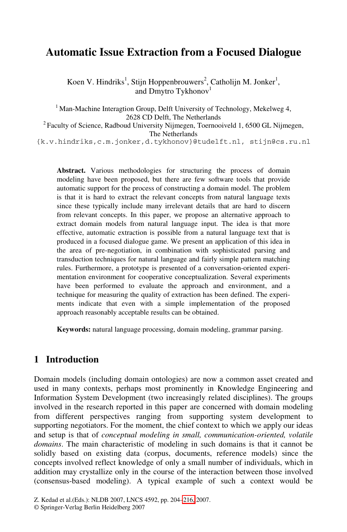# **Automatic Issue Extraction from a Focused Dialogue**

Koen V. Hindriks<sup>1</sup>, Stijn Hoppenbrouwers<sup>2</sup>, Catholijn M. Jonker<sup>1</sup>, and Dmytro Tykhonov<sup>1</sup>

<sup>1</sup> Man-Machine Interagtion Group, Delft University of Technology, Mekelweg 4, 2628 CD Delft, The Netherlands<br><sup>2</sup> Faculty of Science, Radboud University Nijmegen, Toernooiveld 1, 6500 GL Nijmegen,

The Netherlands

{k.v.hindriks,c.m.jonker,d.tykhonov}@tudelft.nl, stijn@cs.ru.nl

**Abstract.** Various methodologies for structuring the process of domain modeling have been proposed, but there are few software tools that provide automatic support for the process of constructing a domain model. The problem is that it is hard to extract the relevant concepts from natural language texts since these typically include many irrelevant details that are hard to discern from relevant concepts. In this paper, we propose an alternative approach to extract domain models from natural language input. The idea is that more effective, automatic extraction is possible from a natural language text that is produced in a focused dialogue game. We present an application of this idea in the area of pre-negotiation, in combination with sophisticated parsing and transduction techniques for natural language and fairly simple pattern matching rules. Furthermore, a prototype is presented of a conversation-oriented experimentation environment for cooperative conceptualization. Several experiments have been performed to evaluate the approach and environment, and a technique for measuring the quality of extraction has been defined. The experiments indicate that even with a simple implementation of the proposed approach reasonably acceptable results can be obtained.

**Keywords:** natural language processing, domain modeling, grammar parsing.

## **1 Introduction**

Domain models (including domain ontologies) are now a common asset created and used in many contexts, perhaps most prominently in Knowledge Engineering and Information System Development (two increasingly related disciplines). The groups involved in the research reported in this paper are concerned with domain modeling from different perspectives ranging from supporting system development to supporting negotiators. For the moment, the chief context to which we apply our ideas and setup is that of *conceptual modeling in small, communication-oriented, volatile domains*. The main characteristic of modeling in such domains is that it cannot be solidly based on existing data (corpus, documents, reference models) since the concepts involved reflect knowledge of only a small number of individuals, which in addition may crystallize only in the course of the interaction between those involved (consensus-based modeling). A typical example of such a context would be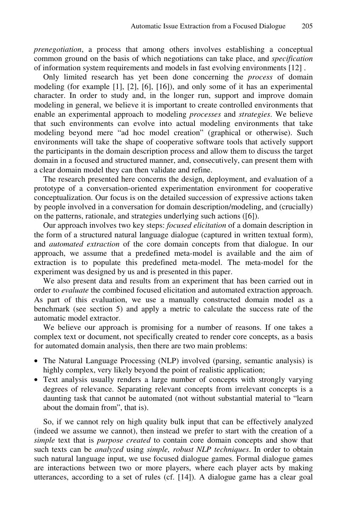*prenegotiation*, a process that among others involves establishing a conceptual common ground on the basis of which negotiations can take place, and *specification* of information system requirements and models in fast evolving environments [12] .

Only limited research has yet been done concerning the *process* of domain modeling (for example [1], [2], [6], [16]), and only some of it has an experimental character. In order to study and, in the longer run, support and improve domain modeling in general, we believe it is important to create controlled environments that enable an experimental approach to modeling *processes* and *strategies*. We believe that such environments can evolve into actual modeling environments that take modeling beyond mere "ad hoc model creation" (graphical or otherwise). Such environments will take the shape of cooperative software tools that actively support the participants in the domain description process and allow them to discuss the target domain in a focused and structured manner, and, consecutively, can present them with a clear domain model they can then validate and refine.

The research presented here concerns the design, deployment, and evaluation of a prototype of a conversation-oriented experimentation environment for cooperative conceptualization. Our focus is on the detailed succession of expressive actions taken by people involved in a conversation for domain description/modeling, and (crucially) on the patterns, rationale, and strategies underlying such actions ([6]).

Our approach involves two key steps: *focused elicitation* of a domain description in the form of a structured natural language dialogue (captured in written textual form), and *automated extraction* of the core domain concepts from that dialogue. In our approach, we assume that a predefined meta-model is available and the aim of extraction is to populate this predefined meta-model. The meta-model for the experiment was designed by us and is presented in this paper.

We also present data and results from an experiment that has been carried out in order to *evaluate* the combined focused elicitation and automated extraction approach. As part of this evaluation, we use a manually constructed domain model as a benchmark (see section 5) and apply a metric to calculate the success rate of the automatic model extractor.

We believe our approach is promising for a number of reasons. If one takes a complex text or document, not specifically created to render core concepts, as a basis for automated domain analysis, then there are two main problems:

- The Natural Language Processing (NLP) involved (parsing, semantic analysis) is highly complex, very likely beyond the point of realistic application;
- Text analysis usually renders a large number of concepts with strongly varying degrees of relevance. Separating relevant concepts from irrelevant concepts is a daunting task that cannot be automated (not without substantial material to "learn about the domain from", that is).

So, if we cannot rely on high quality bulk input that can be effectively analyzed (indeed we assume we cannot), then instead we prefer to start with the creation of a *simple* text that is *purpose created* to contain core domain concepts and show that such texts can be *analyzed* using *simple, robust NLP techniques*. In order to obtain such natural language input, we use focused dialogue games. Formal dialogue games are interactions between two or more players, where each player acts by making utterances, according to a set of rules (cf. [14]). A dialogue game has a clear goal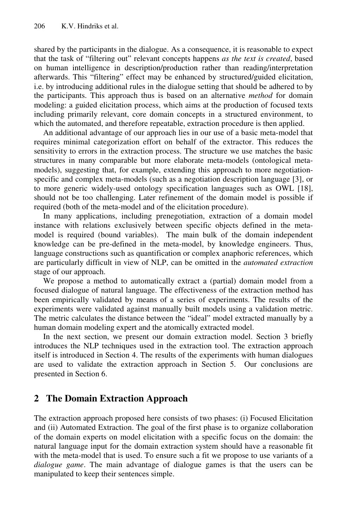shared by the participants in the dialogue. As a consequence, it is reasonable to expect that the task of "filtering out" relevant concepts happens *as the text is created*, based on human intelligence in description/production rather than reading/interpretation afterwards. This "filtering" effect may be enhanced by structured/guided elicitation, i.e. by introducing additional rules in the dialogue setting that should be adhered to by the participants. This approach thus is based on an alternative *method* for domain modeling: a guided elicitation process, which aims at the production of focused texts including primarily relevant, core domain concepts in a structured environment, to which the automated, and therefore repeatable, extraction procedure is then applied.

An additional advantage of our approach lies in our use of a basic meta-model that requires minimal categorization effort on behalf of the extractor. This reduces the sensitivity to errors in the extraction process. The structure we use matches the basic structures in many comparable but more elaborate meta-models (ontological metamodels), suggesting that, for example, extending this approach to more negotiationspecific and complex meta-models (such as a negotiation description language [3], or to more generic widely-used ontology specification languages such as OWL [18], should not be too challenging. Later refinement of the domain model is possible if required (both of the meta-model and of the elicitation procedure).

In many applications, including prenegotiation, extraction of a domain model instance with relations exclusively between specific objects defined in the metamodel is required (bound variables). The main bulk of the domain independent knowledge can be pre-defined in the meta-model, by knowledge engineers. Thus, language constructions such as quantification or complex anaphoric references, which are particularly difficult in view of NLP, can be omitted in the *automated extraction*  stage of our approach.

We propose a method to automatically extract a (partial) domain model from a focused dialogue of natural language. The effectiveness of the extraction method has been empirically validated by means of a series of experiments. The results of the experiments were validated against manually built models using a validation metric. The metric calculates the distance between the "ideal" model extracted manually by a human domain modeling expert and the atomically extracted model.

In the next section, we present our domain extraction model. Section 3 briefly introduces the NLP techniques used in the extraction tool. The extraction approach itself is introduced in Section 4. The results of the experiments with human dialogues are used to validate the extraction approach in Section 5. Our conclusions are presented in Section 6.

## **2 The Domain Extraction Approach**

The extraction approach proposed here consists of two phases: (i) Focused Elicitation and (ii) Automated Extraction. The goal of the first phase is to organize collaboration of the domain experts on model elicitation with a specific focus on the domain: the natural language input for the domain extraction system should have a reasonable fit with the meta-model that is used. To ensure such a fit we propose to use variants of a *dialogue game*. The main advantage of dialogue games is that the users can be manipulated to keep their sentences simple.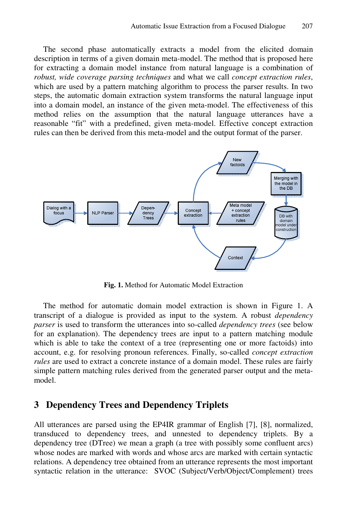The second phase automatically extracts a model from the elicited domain description in terms of a given domain meta-model. The method that is proposed here for extracting a domain model instance from natural language is a combination of *robust, wide coverage parsing techniques* and what we call *concept extraction rules*, which are used by a pattern matching algorithm to process the parser results. In two steps, the automatic domain extraction system transforms the natural language input into a domain model, an instance of the given meta-model. The effectiveness of this method relies on the assumption that the natural language utterances have a reasonable "fit" with a predefined, given meta-model. Effective concept extraction rules can then be derived from this meta-model and the output format of the parser.



**Fig. 1.** Method for Automatic Model Extraction

The method for automatic domain model extraction is shown in Figure 1. A transcript of a dialogue is provided as input to the system. A robust *dependency parser* is used to transform the utterances into so-called *dependency trees* (see below for an explanation). The dependency trees are input to a pattern matching module which is able to take the context of a tree (representing one or more factoids) into account, e.g. for resolving pronoun references. Finally, so-called *concept extraction rules* are used to extract a concrete instance of a domain model. These rules are fairly simple pattern matching rules derived from the generated parser output and the metamodel.

### **3 Dependency Trees and Dependency Triplets**

All utterances are parsed using the EP4IR grammar of English [7], [8], normalized, transduced to dependency trees, and unnested to dependency triplets. By a dependency tree (DTree) we mean a graph (a tree with possibly some confluent arcs) whose nodes are marked with words and whose arcs are marked with certain syntactic relations. A dependency tree obtained from an utterance represents the most important syntactic relation in the utterance: SVOC (Subject/Verb/Object/Complement) trees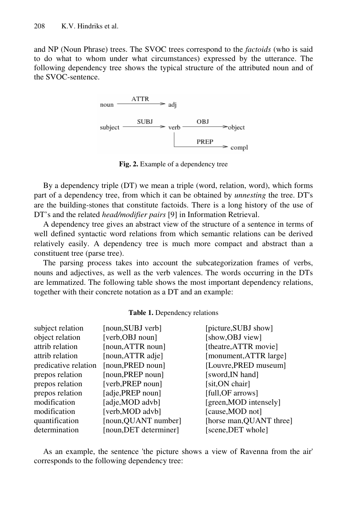and NP (Noun Phrase) trees. The SVOC trees correspond to the *factoids* (who is said to do what to whom under what circumstances) expressed by the utterance. The following dependency tree shows the typical structure of the attributed noun and of the SVOC-sentence.



**Fig. 2.** Example of a dependency tree

By a dependency triple (DT) we mean a triple (word, relation, word), which forms part of a dependency tree, from which it can be obtained by *unnesting* the tree. DT's are the building-stones that constitute factoids. There is a long history of the use of DT's and the related *head/modifier pairs* [9] in Information Retrieval.

A dependency tree gives an abstract view of the structure of a sentence in terms of well defined syntactic word relations from which semantic relations can be derived relatively easily. A dependency tree is much more compact and abstract than a constituent tree (parse tree).

The parsing process takes into account the subcategorization frames of verbs, nouns and adjectives, as well as the verb valences. The words occurring in the DTs are lemmatized. The following table shows the most important dependency relations, together with their concrete notation as a DT and an example:

#### **Table 1.** Dependency relations

| subject relation     | [noun,SUBJ verb]      | [picture, SUBJ show]     |  |  |
|----------------------|-----------------------|--------------------------|--|--|
| object relation      | [verb,OBJ noun]       | [show, OBJ view]         |  |  |
| attrib relation      | [noun,ATTR noun]      | [theatre, ATTR movie]    |  |  |
| attrib relation      | [noun, ATTR adje]     | [monument, ATTR large]   |  |  |
| predicative relation | [noun, PRED noun]     | [Louvre, PRED museum]    |  |  |
| prepos relation      | [noun, PREP noun]     | [sword, IN hand]         |  |  |
| prepos relation      | [verb, PREP noun]     | [sit, ON chair]          |  |  |
| prepos relation      | [adje, PREP noun]     | [full, OF arrows]        |  |  |
| modification         | [adje, MOD advb]      | [green, MOD intensely]   |  |  |
| modification         | [verb, MOD advb]      | [cause, MOD not]         |  |  |
| quantification       | [noun, QUANT number]  | [horse man, QUANT three] |  |  |
| determination        | [noun,DET determiner] | [scene,DET whole]        |  |  |

As an example, the sentence 'the picture shows a view of Ravenna from the air' corresponds to the following dependency tree: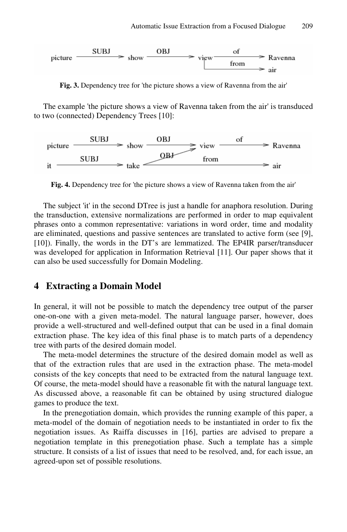

**Fig. 3.** Dependency tree for 'the picture shows a view of Ravenna from the air'

The example 'the picture shows a view of Ravenna taken from the air' is transduced to two (connected) Dependency Trees [10]:



**Fig. 4.** Dependency tree for 'the picture shows a view of Ravenna taken from the air'

The subject 'it' in the second DTree is just a handle for anaphora resolution. During the transduction, extensive normalizations are performed in order to map equivalent phrases onto a common representative: variations in word order, time and modality are eliminated, questions and passive sentences are translated to active form (see [9], [10]). Finally, the words in the DT's are lemmatized. The EP4IR parser/transducer was developed for application in Information Retrieval [11]. Our paper shows that it can also be used successfully for Domain Modeling.

### **4 Extracting a Domain Model**

In general, it will not be possible to match the dependency tree output of the parser one-on-one with a given meta-model. The natural language parser, however, does provide a well-structured and well-defined output that can be used in a final domain extraction phase. The key idea of this final phase is to match parts of a dependency tree with parts of the desired domain model.

The meta-model determines the structure of the desired domain model as well as that of the extraction rules that are used in the extraction phase. The meta-model consists of the key concepts that need to be extracted from the natural language text. Of course, the meta-model should have a reasonable fit with the natural language text. As discussed above, a reasonable fit can be obtained by using structured dialogue games to produce the text.

In the prenegotiation domain, which provides the running example of this paper, a meta-model of the domain of negotiation needs to be instantiated in order to fix the negotiation issues. As Raiffa discusses in [16], parties are advised to prepare a negotiation template in this prenegotiation phase. Such a template has a simple structure. It consists of a list of issues that need to be resolved, and, for each issue, an agreed-upon set of possible resolutions.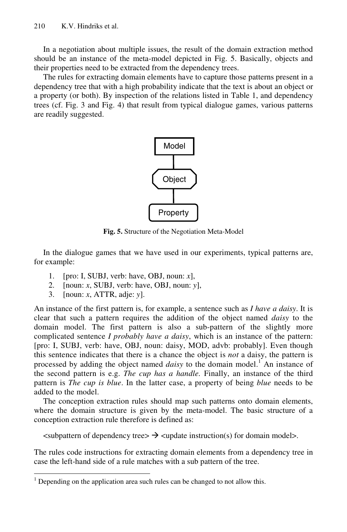In a negotiation about multiple issues, the result of the domain extraction method should be an instance of the meta-model depicted in Fig. 5. Basically, objects and their properties need to be extracted from the dependency trees.

The rules for extracting domain elements have to capture those patterns present in a dependency tree that with a high probability indicate that the text is about an object or a property (or both). By inspection of the relations listed in Table 1, and dependency trees (cf. Fig. 3 and Fig. 4) that result from typical dialogue games, various patterns are readily suggested.



**Fig. 5.** Structure of the Negotiation Meta-Model

In the dialogue games that we have used in our experiments, typical patterns are, for example:

- 1. [pro: I, SUBJ, verb: have, OBJ, noun: *x*],
- 2. [noun: *x*, SUBJ, verb: have, OBJ, noun: *y*],
- 3. [noun: *x*, ATTR, adje: *y*].

l

An instance of the first pattern is, for example, a sentence such as *I have a daisy*. It is clear that such a pattern requires the addition of the object named *daisy* to the domain model. The first pattern is also a sub-pattern of the slightly more complicated sentence *I probably have a daisy*, which is an instance of the pattern: [pro: I, SUBJ, verb: have, OBJ, noun: daisy, MOD, advb: probably]. Even though this sentence indicates that there is a chance the object is *not* a daisy, the pattern is processed by adding the object named *daisy* to the domain model.<sup>1</sup> An instance of the second pattern is e.g. *The cup has a handle.* Finally, an instance of the third pattern is *The cup is blue*. In the latter case, a property of being *blue* needs to be added to the model.

The conception extraction rules should map such patterns onto domain elements, where the domain structure is given by the meta-model. The basic structure of a conception extraction rule therefore is defined as:

 $\leq$ subpattern of dependency tree $\geq$   $\geq$   $\leq$ update instruction(s) for domain model $\geq$ .

The rules code instructions for extracting domain elements from a dependency tree in case the left-hand side of a rule matches with a sub pattern of the tree.

<sup>&</sup>lt;sup>1</sup> Depending on the application area such rules can be changed to not allow this.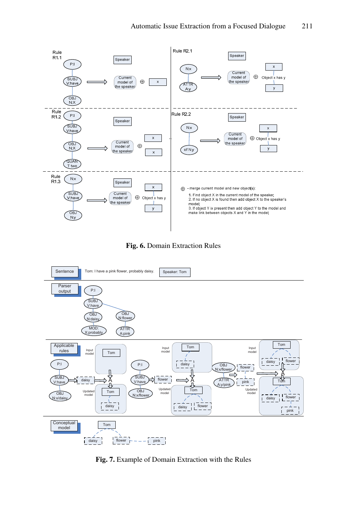





**Fig. 7.** Example of Domain Extraction with the Rules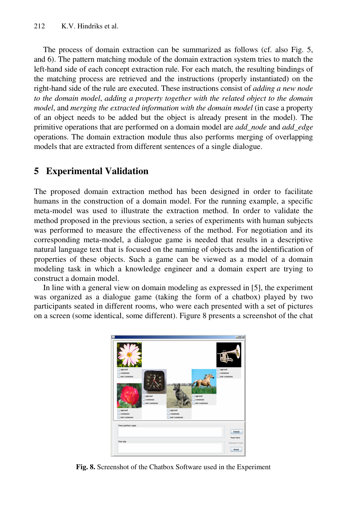The process of domain extraction can be summarized as follows (cf. also Fig. 5, and 6). The pattern matching module of the domain extraction system tries to match the left-hand side of each concept extraction rule. For each match, the resulting bindings of the matching process are retrieved and the instructions (properly instantiated) on the right-hand side of the rule are executed. These instructions consist of *adding a new node to the domain model*, *adding a property together with the related object to the domain model, and merging the extracted information with the domain model* (in case a property of an object needs to be added but the object is already present in the model). The primitive operations that are performed on a domain model are *add\_node* and *add\_edge* operations. The domain extraction module thus also performs merging of overlapping models that are extracted from different sentences of a single dialogue.

## **5 Experimental Validation**

The proposed domain extraction method has been designed in order to facilitate humans in the construction of a domain model. For the running example, a specific meta-model was used to illustrate the extraction method. In order to validate the method proposed in the previous section, a series of experiments with human subjects was performed to measure the effectiveness of the method. For negotiation and its corresponding meta-model, a dialogue game is needed that results in a descriptive natural language text that is focused on the naming of objects and the identification of properties of these objects. Such a game can be viewed as a model of a domain modeling task in which a knowledge engineer and a domain expert are trying to construct a domain model.

In line with a general view on domain modeling as expressed in [5], the experiment was organized as a dialogue game (taking the form of a chatbox) played by two participants seated in different rooms, who were each presented with a set of pictures on a screen (some identical, some different). Figure 8 presents a screenshot of the chat



**Fig. 8.** Screenshot of the Chatbox Software used in the Experiment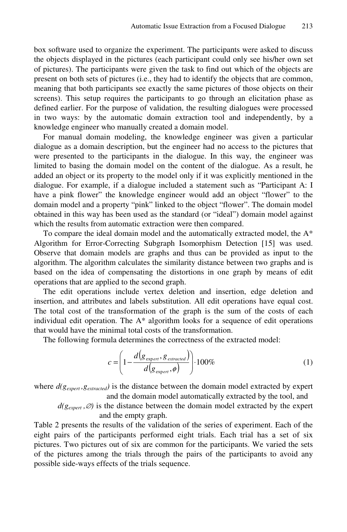box software used to organize the experiment. The participants were asked to discuss the objects displayed in the pictures (each participant could only see his/her own set of pictures). The participants were given the task to find out which of the objects are present on both sets of pictures (i.e., they had to identify the objects that are common, meaning that both participants see exactly the same pictures of those objects on their screens). This setup requires the participants to go through an elicitation phase as defined earlier. For the purpose of validation, the resulting dialogues were processed in two ways: by the automatic domain extraction tool and independently, by a knowledge engineer who manually created a domain model.

For manual domain modeling, the knowledge engineer was given a particular dialogue as a domain description, but the engineer had no access to the pictures that were presented to the participants in the dialogue. In this way, the engineer was limited to basing the domain model on the content of the dialogue. As a result, he added an object or its property to the model only if it was explicitly mentioned in the dialogue. For example, if a dialogue included a statement such as "Participant A: I have a pink flower" the knowledge engineer would add an object "flower" to the domain model and a property "pink" linked to the object "flower". The domain model obtained in this way has been used as the standard (or "ideal") domain model against which the results from automatic extraction were then compared.

To compare the ideal domain model and the automatically extracted model, the A\* Algorithm for Error-Correcting Subgraph Isomorphism Detection [15] was used. Observe that domain models are graphs and thus can be provided as input to the algorithm. The algorithm calculates the similarity distance between two graphs and is based on the idea of compensating the distortions in one graph by means of edit operations that are applied to the second graph.

The edit operations include vertex deletion and insertion, edge deletion and insertion, and attributes and labels substitution. All edit operations have equal cost. The total cost of the transformation of the graph is the sum of the costs of each individual edit operation. The  $A^*$  algorithm looks for a sequence of edit operations that would have the minimal total costs of the transformation.

The following formula determines the correctness of the extracted model:

$$
c = \left(1 - \frac{d(g_{\text{exper}}, g_{\text{extracted}})}{d(g_{\text{exper}}, \phi)}\right) \cdot 100\%
$$
\n
$$
(1)
$$

where  $d(g_{\text{expert}}, g_{\text{extracted}})$  is the distance between the domain model extracted by expert and the domain model automatically extracted by the tool, and

 $d(g_{\text{expert}}, \emptyset)$  is the distance between the domain model extracted by the expert and the empty graph.

Table 2 presents the results of the validation of the series of experiment. Each of the eight pairs of the participants performed eight trials. Each trial has a set of six pictures. Two pictures out of six are common for the participants. We varied the sets of the pictures among the trials through the pairs of the participants to avoid any possible side-ways effects of the trials sequence.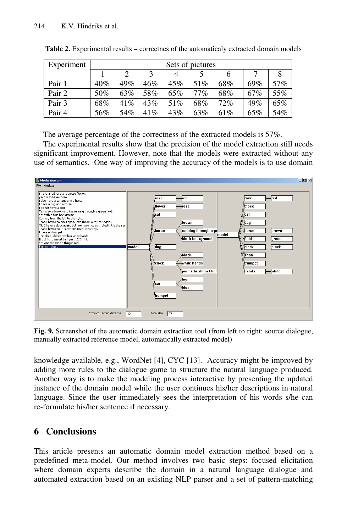| Experiment | Sets of pictures |     |     |     |     |     |     |     |  |
|------------|------------------|-----|-----|-----|-----|-----|-----|-----|--|
|            |                  | 2   |     | 4   |     | b   |     |     |  |
| Pair 1     | 40%              | 49% | 46% | 45% | 51% | 68% | 69% | 57% |  |
| Pair 2     | 50%              | 63% | 58% | 65% | 77% | 68% | 67% | 55% |  |
| Pair 3     | 68%              | 41% | 43% | 51% | 68% | 72% | 49% | 65% |  |
| Pair 4     | 56%              | 54% | 41% | 43% | 63% | 61% | 65% | 54% |  |

**Table 2.** Experimental results – correctnes of the automaticaly extracted domain models

The average percentage of the correctness of the extracted models is 57%.

The experimental results show that the precision of the model extraction still needs significant improvement. However, note that the models were extracted without any use of semantics. One way of improving the accuracy of the models is to use domain



**Fig. 9.** Screenshot of the automatic domain extraction tool (from left to right: source dialogue, manually extracted reference model, automatically extracted model)

knowledge available, e.g., WordNet [4], CYC [13]. Accuracy might be improved by adding more rules to the dialogue game to structure the natural language produced. Another way is to make the modeling process interactive by presenting the updated instance of the domain model while the user continues his/her descriptions in natural language. Since the user immediately sees the interpretation of his words s/he can re-formulate his/her sentence if necessary.

# **6 Conclusions**

This article presents an automatic domain model extraction method based on a predefined meta-model. Our method involves two basic steps: focused elicitation where domain experts describe the domain in a natural language dialogue and automated extraction based on an existing NLP parser and a set of pattern-matching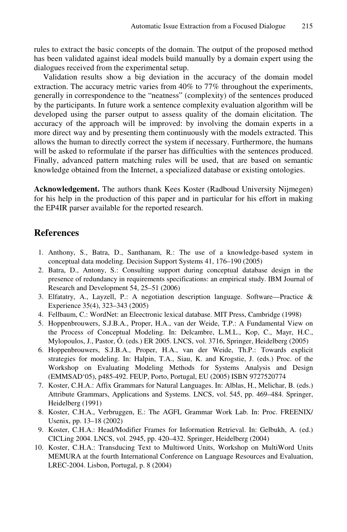rules to extract the basic concepts of the domain. The output of the proposed method has been validated against ideal models build manually by a domain expert using the dialogues received from the experimental setup.

Validation results show a big deviation in the accuracy of the domain model extraction. The accuracy metric varies from 40% to 77% throughout the experiments, generally in correspondence to the "neatness" (complexity) of the sentences produced by the participants. In future work a sentence complexity evaluation algorithm will be developed using the parser output to assess quality of the domain elicitation. The accuracy of the approach will be improved: by involving the domain experts in a more direct way and by presenting them continuously with the models extracted. This allows the human to directly correct the system if necessary. Furthermore, the humans will be asked to reformulate if the parser has difficulties with the sentences produced. Finally, advanced pattern matching rules will be used, that are based on semantic knowledge obtained from the Internet, a specialized database or existing ontologies.

**Acknowledgement.** The authors thank Kees Koster (Radboud University Nijmegen) for his help in the production of this paper and in particular for his effort in making the EP4IR parser available for the reported research.

## **References**

- 1. Anthony, S., Batra, D., Santhanam, R.: The use of a knowledge-based system in conceptual data modeling. Decision Support Systems 41, 176–190 (2005)
- 2. Batra, D., Antony, S.: Consulting support during conceptual database design in the presence of redundancy in requirements specifications: an empirical study. IBM Journal of Research and Development 54, 25–51 (2006)
- 3. Elfatatry, A., Layzell, P.: A negotiation description language. Software—Practice & Experience 35(4), 323–343 (2005)
- 4. Fellbaum, C.: WordNet: an Eleectronic lexical database. MIT Press, Cambridge (1998)
- 5. Hoppenbrouwers, S.J.B.A., Proper, H.A., van der Weide, T.P.: A Fundamental View on the Process of Conceptual Modeling. In: Delcambre, L.M.L., Kop, C., Mayr, H.C., Mylopoulos, J., Pastor, Ó. (eds.) ER 2005. LNCS, vol. 3716, Springer, Heidelberg (2005)
- 6. Hoppenbrouwers, S.J.B.A., Proper, H.A., van der Weide, Th.P.: Towards explicit strategies for modeling. In: Halpin, T.A., Siau, K. and Krogstie, J. (eds.) Proc. of the Workshop on Evaluating Modeling Methods for Systems Analysis and Design (EMMSAD'05), p485-492. FEUP, Porto, Portugal, EU (2005) ISBN 9727520774
- 7. Koster, C.H.A.: Affix Grammars for Natural Languages. In: Alblas, H., Melichar, B. (eds.) Attribute Grammars, Applications and Systems. LNCS, vol. 545, pp. 469–484. Springer, Heidelberg (1991)
- 8. Koster, C.H.A., Verbruggen, E.: The AGFL Grammar Work Lab. In: Proc. FREENIX/ Usenix, pp. 13–18 (2002)
- 9. Koster, C.H.A.: Head/Modifier Frames for Information Retrieval. In: Gelbukh, A. (ed.) CICLing 2004. LNCS, vol. 2945, pp. 420–432. Springer, Heidelberg (2004)
- 10. Koster, C.H.A.: Transducing Text to Multiword Units, Workshop on MultiWord Units MEMURA at the fourth International Conference on Language Resources and Evaluation, LREC-2004. Lisbon, Portugal, p. 8 (2004)